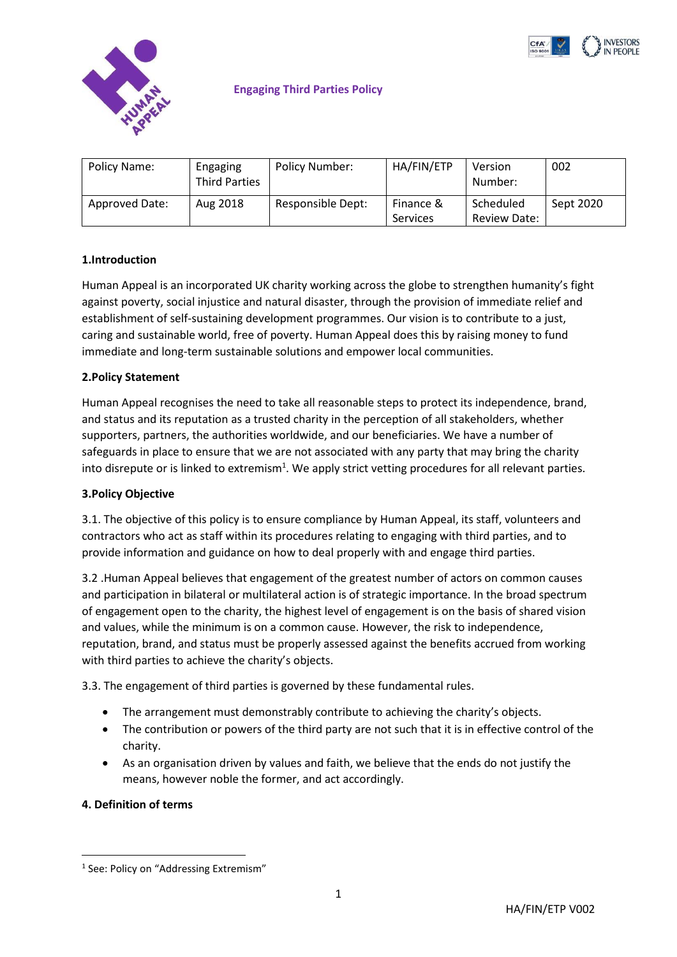



**Engaging Third Parties Policy**

| Policy Name:   | Engaging<br><b>Third Parties</b> | Policy Number:    | HA/FIN/ETP                   | Version<br>Number:               | 002       |
|----------------|----------------------------------|-------------------|------------------------------|----------------------------------|-----------|
| Approved Date: | Aug 2018                         | Responsible Dept: | Finance &<br><b>Services</b> | Scheduled<br><b>Review Date:</b> | Sept 2020 |

## **1.Introduction**

Human Appeal is an incorporated UK charity working across the globe to strengthen humanity's fight against poverty, social injustice and natural disaster, through the provision of immediate relief and establishment of self-sustaining development programmes. Our vision is to contribute to a just, caring and sustainable world, free of poverty. Human Appeal does this by raising money to fund immediate and long-term sustainable solutions and empower local communities.

### **2.Policy Statement**

Human Appeal recognises the need to take all reasonable steps to protect its independence, brand, and status and its reputation as a trusted charity in the perception of all stakeholders, whether supporters, partners, the authorities worldwide, and our beneficiaries. We have a number of safeguards in place to ensure that we are not associated with any party that may bring the charity into disrepute or is linked to extremism<sup>1</sup>. We apply strict vetting procedures for all relevant parties.

### **3.Policy Objective**

3.1. The objective of this policy is to ensure compliance by Human Appeal, its staff, volunteers and contractors who act as staff within its procedures relating to engaging with third parties, and to provide information and guidance on how to deal properly with and engage third parties.

3.2 .Human Appeal believes that engagement of the greatest number of actors on common causes and participation in bilateral or multilateral action is of strategic importance. In the broad spectrum of engagement open to the charity, the highest level of engagement is on the basis of shared vision and values, while the minimum is on a common cause. However, the risk to independence, reputation, brand, and status must be properly assessed against the benefits accrued from working with third parties to achieve the charity's objects.

3.3. The engagement of third parties is governed by these fundamental rules.

- The arrangement must demonstrably contribute to achieving the charity's objects.
- The contribution or powers of the third party are not such that it is in effective control of the charity.
- As an organisation driven by values and faith, we believe that the ends do not justify the means, however noble the former, and act accordingly.

### **4. Definition of terms**

**.** 

<sup>&</sup>lt;sup>1</sup> See: Policy on "Addressing Extremism"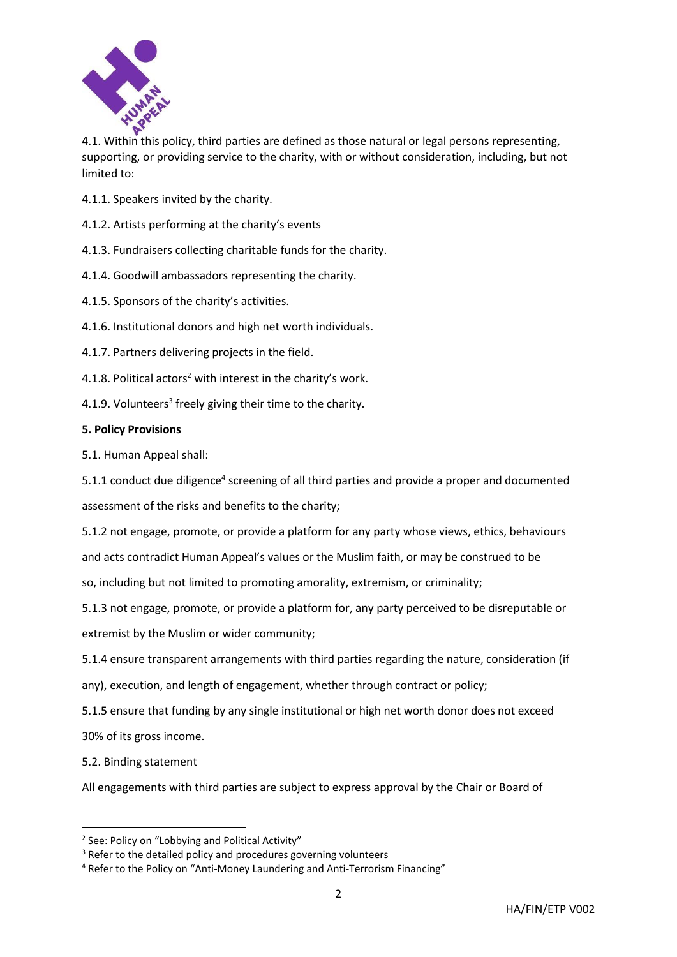

4.1. Within this policy, third parties are defined as those natural or legal persons representing, supporting, or providing service to the charity, with or without consideration, including, but not limited to:

- 4.1.1. Speakers invited by the charity.
- 4.1.2. Artists performing at the charity's events
- 4.1.3. Fundraisers collecting charitable funds for the charity.
- 4.1.4. Goodwill ambassadors representing the charity.
- 4.1.5. Sponsors of the charity's activities.
- 4.1.6. Institutional donors and high net worth individuals.
- 4.1.7. Partners delivering projects in the field.
- 4.1.8. Political actors<sup>2</sup> with interest in the charity's work.
- 4.1.9. Volunteers<sup>3</sup> freely giving their time to the charity.

# **5. Policy Provisions**

5.1. Human Appeal shall:

5.1.1 conduct due diligence<sup>4</sup> screening of all third parties and provide a proper and documented

assessment of the risks and benefits to the charity;

5.1.2 not engage, promote, or provide a platform for any party whose views, ethics, behaviours

and acts contradict Human Appeal's values or the Muslim faith, or may be construed to be

so, including but not limited to promoting amorality, extremism, or criminality;

5.1.3 not engage, promote, or provide a platform for, any party perceived to be disreputable or extremist by the Muslim or wider community;

- 5.1.4 ensure transparent arrangements with third parties regarding the nature, consideration (if
- any), execution, and length of engagement, whether through contract or policy;

5.1.5 ensure that funding by any single institutional or high net worth donor does not exceed

30% of its gross income.

5.2. Binding statement

**.** 

All engagements with third parties are subject to express approval by the Chair or Board of

<sup>&</sup>lt;sup>2</sup> See: Policy on "Lobbying and Political Activity"

 $3$  Refer to the detailed policy and procedures governing volunteers

<sup>4</sup> Refer to the Policy on "Anti-Money Laundering and Anti-Terrorism Financing"